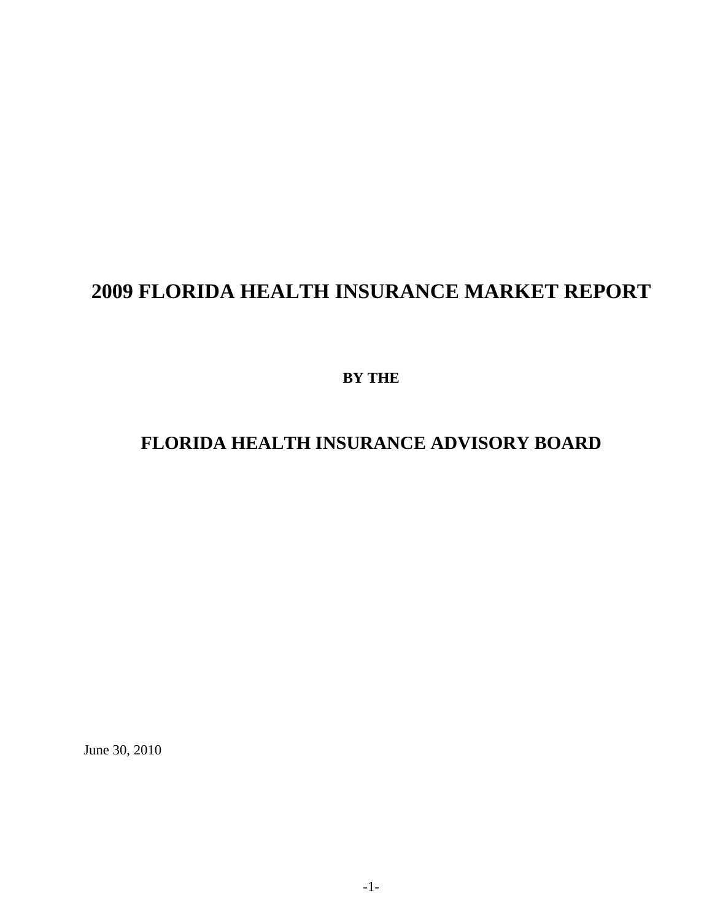# **2009 FLORIDA HEALTH INSURANCE MARKET REPORT**

**BY THE** 

### **FLORIDA HEALTH INSURANCE ADVISORY BOARD**

June 30, 2010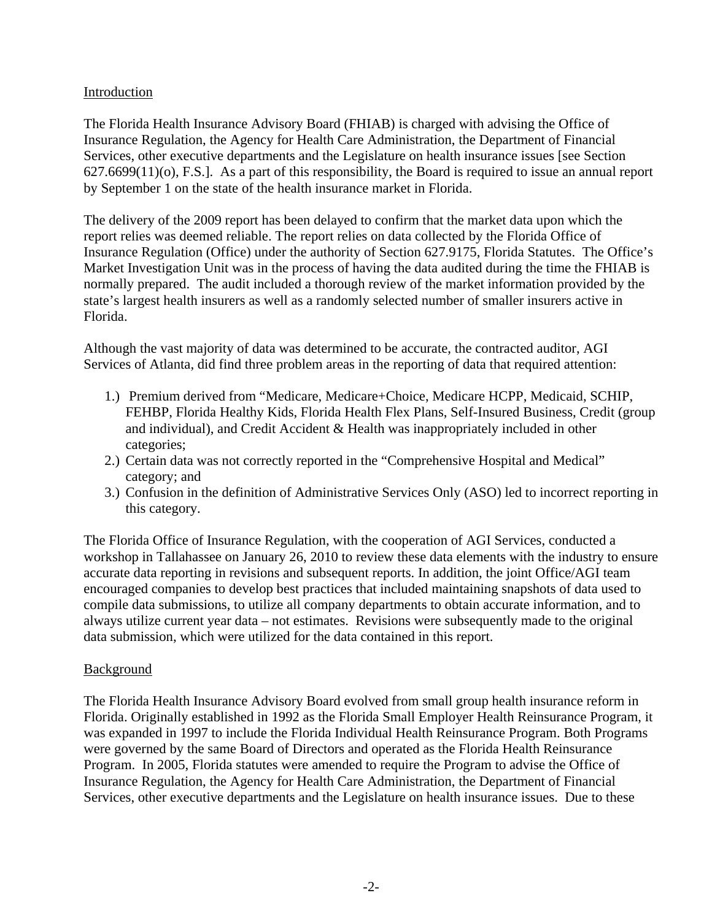### Introduction

The Florida Health Insurance Advisory Board (FHIAB) is charged with advising the Office of Insurance Regulation, the Agency for Health Care Administration, the Department of Financial Services, other executive departments and the Legislature on health insurance issues [see Section 627.6699(11)(o), F.S.]. As a part of this responsibility, the Board is required to issue an annual report by September 1 on the state of the health insurance market in Florida.

The delivery of the 2009 report has been delayed to confirm that the market data upon which the report relies was deemed reliable. The report relies on data collected by the Florida Office of Insurance Regulation (Office) under the authority of Section 627.9175, Florida Statutes. The Office's Market Investigation Unit was in the process of having the data audited during the time the FHIAB is normally prepared. The audit included a thorough review of the market information provided by the state's largest health insurers as well as a randomly selected number of smaller insurers active in Florida.

Although the vast majority of data was determined to be accurate, the contracted auditor, AGI Services of Atlanta, did find three problem areas in the reporting of data that required attention:

- 1.) Premium derived from "Medicare, Medicare+Choice, Medicare HCPP, Medicaid, SCHIP, FEHBP, Florida Healthy Kids, Florida Health Flex Plans, Self-Insured Business, Credit (group and individual), and Credit Accident & Health was inappropriately included in other categories;
- 2.) Certain data was not correctly reported in the "Comprehensive Hospital and Medical" category; and
- 3.) Confusion in the definition of Administrative Services Only (ASO) led to incorrect reporting in this category.

The Florida Office of Insurance Regulation, with the cooperation of AGI Services, conducted a workshop in Tallahassee on January 26, 2010 to review these data elements with the industry to ensure accurate data reporting in revisions and subsequent reports. In addition, the joint Office/AGI team encouraged companies to develop best practices that included maintaining snapshots of data used to compile data submissions, to utilize all company departments to obtain accurate information, and to always utilize current year data – not estimates. Revisions were subsequently made to the original data submission, which were utilized for the data contained in this report.

### **Background**

The Florida Health Insurance Advisory Board evolved from small group health insurance reform in Florida. Originally established in 1992 as the Florida Small Employer Health Reinsurance Program, it was expanded in 1997 to include the Florida Individual Health Reinsurance Program. Both Programs were governed by the same Board of Directors and operated as the Florida Health Reinsurance Program. In 2005, Florida statutes were amended to require the Program to advise the Office of Insurance Regulation, the Agency for Health Care Administration, the Department of Financial Services, other executive departments and the Legislature on health insurance issues. Due to these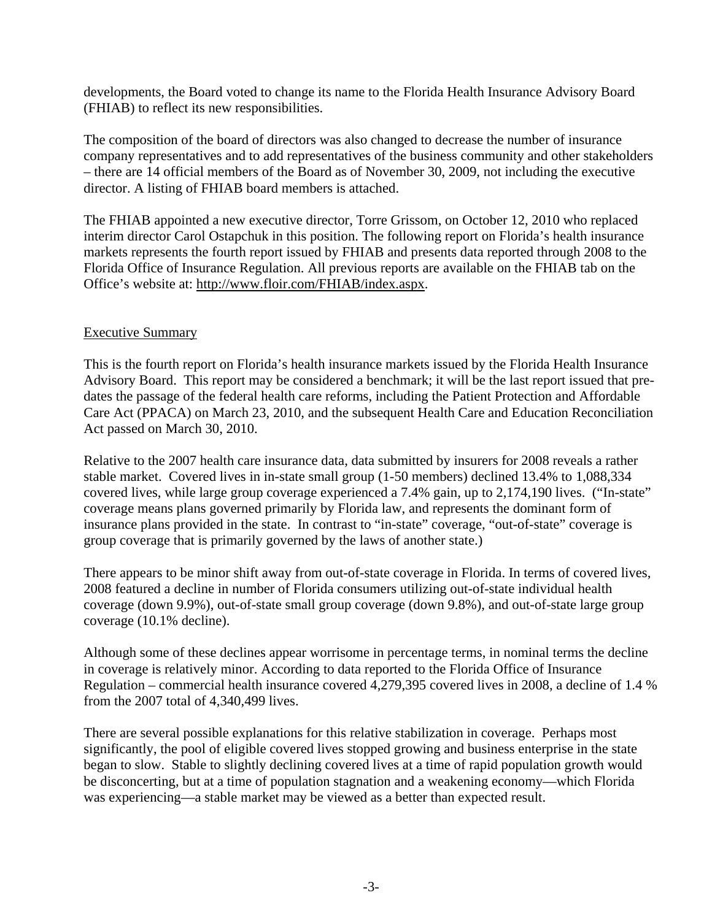developments, the Board voted to change its name to the Florida Health Insurance Advisory Board (FHIAB) to reflect its new responsibilities.

The composition of the board of directors was also changed to decrease the number of insurance company representatives and to add representatives of the business community and other stakeholders – there are 14 official members of the Board as of November 30, 2009, not including the executive director. A listing of FHIAB board members is attached.

The FHIAB appointed a new executive director, Torre Grissom, on October 12, 2010 who replaced interim director Carol Ostapchuk in this position. The following report on Florida's health insurance markets represents the fourth report issued by FHIAB and presents data reported through 2008 to the Florida Office of Insurance Regulation. All previous reports are available on the FHIAB tab on the Office's website at: http://www.floir.com/FHIAB/index.aspx.

### Executive Summary

This is the fourth report on Florida's health insurance markets issued by the Florida Health Insurance Advisory Board. This report may be considered a benchmark; it will be the last report issued that predates the passage of the federal health care reforms, including the Patient Protection and Affordable Care Act (PPACA) on March 23, 2010, and the subsequent Health Care and Education Reconciliation Act passed on March 30, 2010.

Relative to the 2007 health care insurance data, data submitted by insurers for 2008 reveals a rather stable market. Covered lives in in-state small group (1-50 members) declined 13.4% to 1,088,334 covered lives, while large group coverage experienced a 7.4% gain, up to 2,174,190 lives. ("In-state" coverage means plans governed primarily by Florida law, and represents the dominant form of insurance plans provided in the state. In contrast to "in-state" coverage, "out-of-state" coverage is group coverage that is primarily governed by the laws of another state.)

There appears to be minor shift away from out-of-state coverage in Florida. In terms of covered lives, 2008 featured a decline in number of Florida consumers utilizing out-of-state individual health coverage (down 9.9%), out-of-state small group coverage (down 9.8%), and out-of-state large group coverage (10.1% decline).

Although some of these declines appear worrisome in percentage terms, in nominal terms the decline in coverage is relatively minor. According to data reported to the Florida Office of Insurance Regulation – commercial health insurance covered 4,279,395 covered lives in 2008, a decline of 1.4 % from the 2007 total of 4,340,499 lives.

There are several possible explanations for this relative stabilization in coverage. Perhaps most significantly, the pool of eligible covered lives stopped growing and business enterprise in the state began to slow. Stable to slightly declining covered lives at a time of rapid population growth would be disconcerting, but at a time of population stagnation and a weakening economy—which Florida was experiencing—a stable market may be viewed as a better than expected result.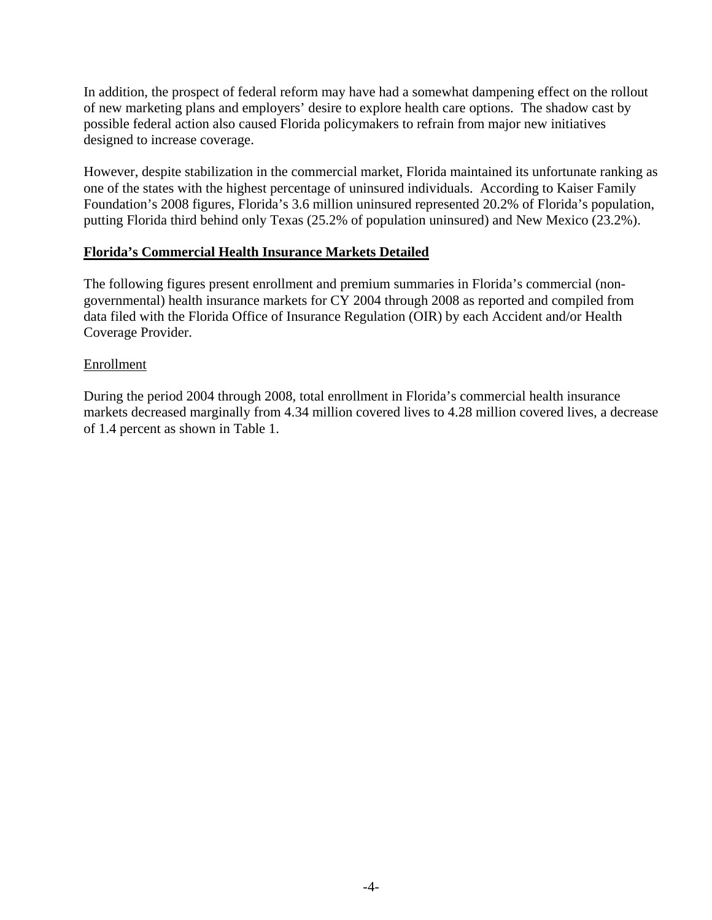In addition, the prospect of federal reform may have had a somewhat dampening effect on the rollout of new marketing plans and employers' desire to explore health care options. The shadow cast by possible federal action also caused Florida policymakers to refrain from major new initiatives designed to increase coverage.

However, despite stabilization in the commercial market, Florida maintained its unfortunate ranking as one of the states with the highest percentage of uninsured individuals. According to Kaiser Family Foundation's 2008 figures, Florida's 3.6 million uninsured represented 20.2% of Florida's population, putting Florida third behind only Texas (25.2% of population uninsured) and New Mexico (23.2%).

### **Florida's Commercial Health Insurance Markets Detailed**

The following figures present enrollment and premium summaries in Florida's commercial (nongovernmental) health insurance markets for CY 2004 through 2008 as reported and compiled from data filed with the Florida Office of Insurance Regulation (OIR) by each Accident and/or Health Coverage Provider.

#### Enrollment

During the period 2004 through 2008, total enrollment in Florida's commercial health insurance markets decreased marginally from 4.34 million covered lives to 4.28 million covered lives, a decrease of 1.4 percent as shown in Table 1.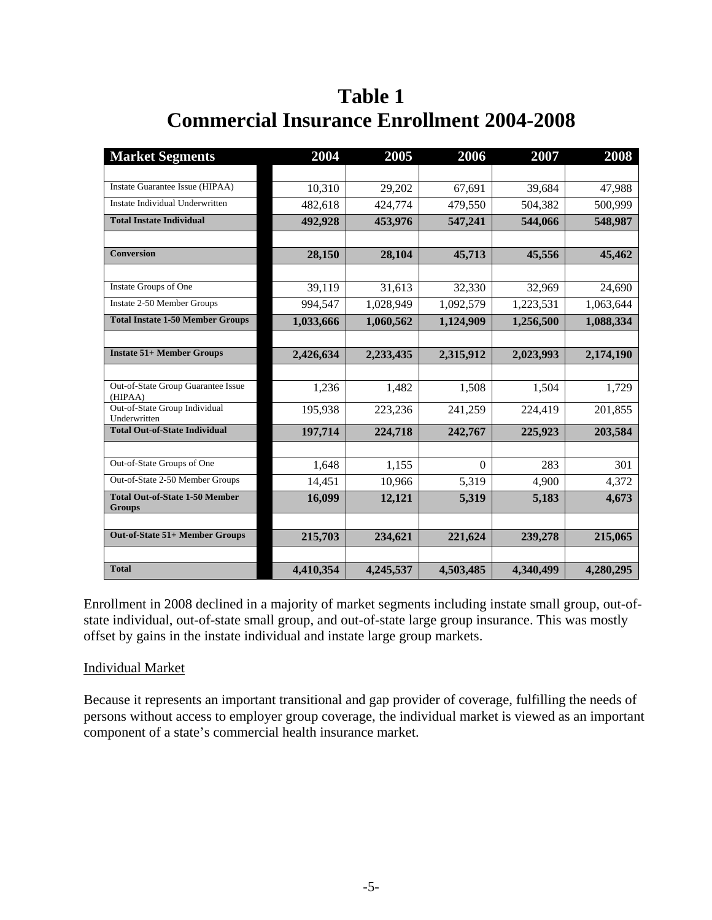## **Table 1 Commercial Insurance Enrollment 2004-2008**

| <b>Market Segments</b>                                 | 2004      | 2005      | 2006      | 2007      | 2008      |
|--------------------------------------------------------|-----------|-----------|-----------|-----------|-----------|
|                                                        |           |           |           |           |           |
| Instate Guarantee Issue (HIPAA)                        | 10,310    | 29,202    | 67,691    | 39,684    | 47,988    |
| Instate Individual Underwritten                        | 482,618   | 424,774   | 479,550   | 504,382   | 500,999   |
| <b>Total Instate Individual</b>                        | 492,928   | 453,976   | 547,241   | 544,066   | 548,987   |
|                                                        |           |           |           |           |           |
| <b>Conversion</b>                                      | 28,150    | 28,104    | 45,713    | 45,556    | 45,462    |
|                                                        |           |           |           |           |           |
| Instate Groups of One                                  | 39,119    | 31,613    | 32,330    | 32,969    | 24,690    |
| Instate 2-50 Member Groups                             | 994,547   | 1,028,949 | 1,092,579 | 1,223,531 | 1,063,644 |
| <b>Total Instate 1-50 Member Groups</b>                | 1,033,666 | 1,060,562 | 1,124,909 | 1,256,500 | 1,088,334 |
|                                                        |           |           |           |           |           |
| <b>Instate 51+ Member Groups</b>                       | 2,426,634 | 2,233,435 | 2,315,912 | 2,023,993 | 2,174,190 |
|                                                        |           |           |           |           |           |
| Out-of-State Group Guarantee Issue<br>(HIPAA)          | 1,236     | 1,482     | 1,508     | 1,504     | 1,729     |
| Out-of-State Group Individual<br>Underwritten          | 195,938   | 223,236   | 241,259   | 224,419   | 201,855   |
| <b>Total Out-of-State Individual</b>                   | 197,714   | 224,718   | 242,767   | 225,923   | 203,584   |
|                                                        |           |           |           |           |           |
| Out-of-State Groups of One                             | 1,648     | 1,155     | $\Omega$  | 283       | 301       |
| Out-of-State 2-50 Member Groups                        | 14,451    | 10,966    | 5,319     | 4,900     | 4,372     |
| <b>Total Out-of-State 1-50 Member</b><br><b>Groups</b> | 16,099    | 12,121    | 5,319     | 5,183     | 4,673     |
|                                                        |           |           |           |           |           |
| Out-of-State 51+ Member Groups                         | 215,703   | 234,621   | 221,624   | 239,278   | 215,065   |
|                                                        |           |           |           |           |           |
| <b>Total</b>                                           | 4,410,354 | 4,245,537 | 4,503,485 | 4,340,499 | 4,280,295 |

Enrollment in 2008 declined in a majority of market segments including instate small group, out-ofstate individual, out-of-state small group, and out-of-state large group insurance. This was mostly offset by gains in the instate individual and instate large group markets.

### Individual Market

Because it represents an important transitional and gap provider of coverage, fulfilling the needs of persons without access to employer group coverage, the individual market is viewed as an important component of a state's commercial health insurance market.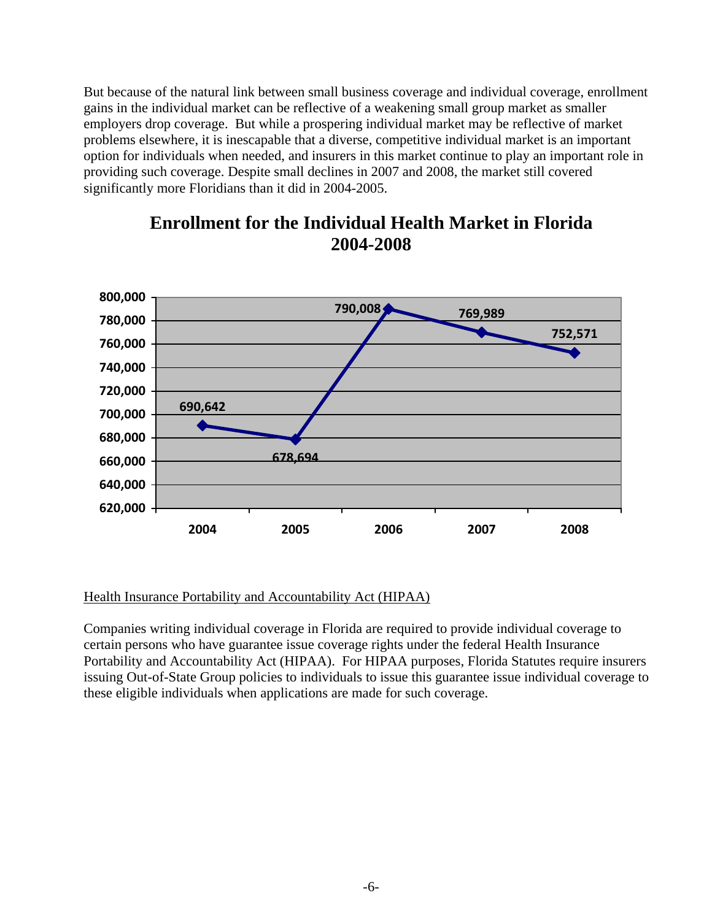But because of the natural link between small business coverage and individual coverage, enrollment gains in the individual market can be reflective of a weakening small group market as smaller employers drop coverage. But while a prospering individual market may be reflective of market problems elsewhere, it is inescapable that a diverse, competitive individual market is an important option for individuals when needed, and insurers in this market continue to play an important role in providing such coverage. Despite small declines in 2007 and 2008, the market still covered significantly more Floridians than it did in 2004-2005.



### **Enrollment for the Individual Health Market in Florida 2004-2008**

### Health Insurance Portability and Accountability Act (HIPAA)

Companies writing individual coverage in Florida are required to provide individual coverage to certain persons who have guarantee issue coverage rights under the federal Health Insurance Portability and Accountability Act (HIPAA). For HIPAA purposes, Florida Statutes require insurers issuing Out-of-State Group policies to individuals to issue this guarantee issue individual coverage to these eligible individuals when applications are made for such coverage.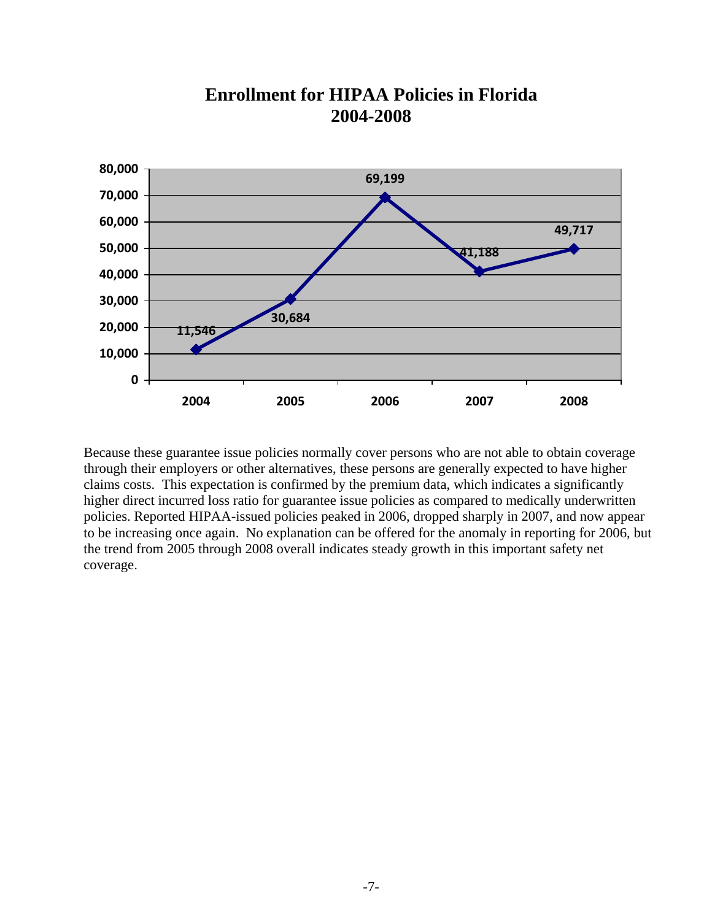

### **Enrollment for HIPAA Policies in Florida 2004-2008**

Because these guarantee issue policies normally cover persons who are not able to obtain coverage through their employers or other alternatives, these persons are generally expected to have higher claims costs. This expectation is confirmed by the premium data, which indicates a significantly higher direct incurred loss ratio for guarantee issue policies as compared to medically underwritten policies. Reported HIPAA-issued policies peaked in 2006, dropped sharply in 2007, and now appear to be increasing once again. No explanation can be offered for the anomaly in reporting for 2006, but the trend from 2005 through 2008 overall indicates steady growth in this important safety net coverage.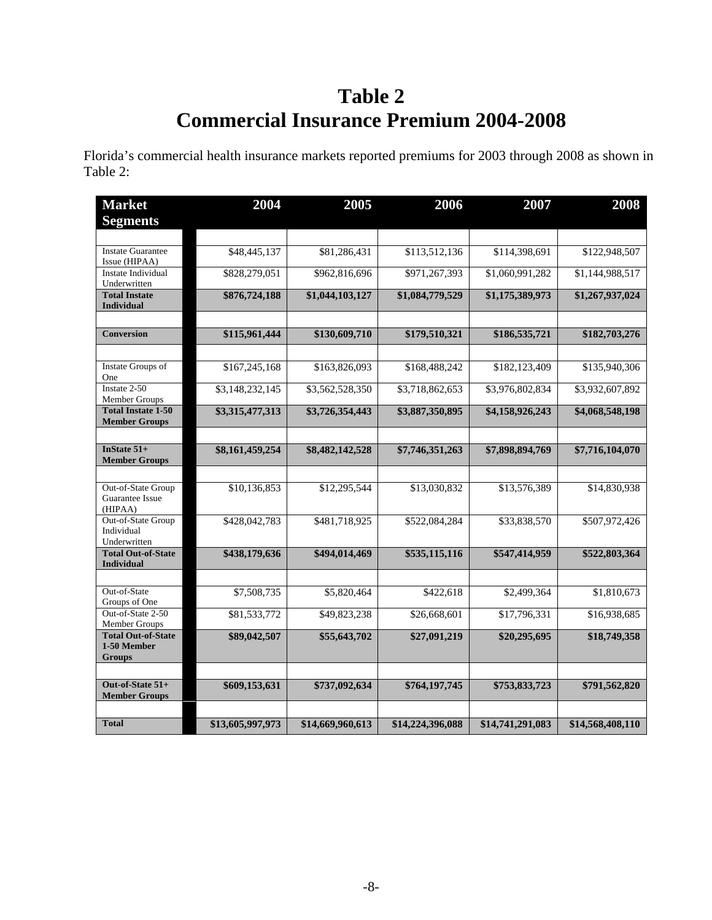## **Table 2 Commercial Insurance Premium 2004-2008**

Florida's commercial health insurance markets reported premiums for 2003 through 2008 as shown in Table 2:

| <b>Market</b>                                             | 2004             | 2005             | 2006             | 2007             | 2008             |
|-----------------------------------------------------------|------------------|------------------|------------------|------------------|------------------|
| <b>Segments</b>                                           |                  |                  |                  |                  |                  |
| <b>Instate Guarantee</b><br>Issue (HIPAA)                 | \$48,445,137     | \$81,286,431     | \$113,512,136    | \$114,398,691    | \$122,948,507    |
| <b>Instate Individual</b><br>Underwritten                 | \$828,279,051    | \$962,816,696    | \$971,267,393    | \$1,060,991,282  | \$1,144,988,517  |
| <b>Total Instate</b><br><b>Individual</b>                 | \$876,724,188    | \$1,044,103,127  | \$1,084,779,529  | \$1,175,389,973  | \$1,267,937,024  |
| <b>Conversion</b>                                         | \$115,961,444    | \$130,609,710    | \$179,510,321    | \$186,535,721    | \$182,703,276    |
|                                                           |                  |                  |                  |                  |                  |
| <b>Instate Groups of</b><br>One                           | \$167,245,168    | \$163,826,093    | \$168,488,242    | \$182,123,409    | \$135,940,306    |
| Instate 2-50<br>Member Groups                             | \$3,148,232,145  | \$3,562,528,350  | \$3,718,862,653  | \$3,976,802,834  | \$3,932,607,892  |
| <b>Total Instate 1-50</b><br><b>Member Groups</b>         | \$3,315,477,313  | \$3,726,354,443  | \$3,887,350,895  | \$4,158,926,243  | \$4,068,548,198  |
| InState $51+$<br><b>Member Groups</b>                     | \$8,161,459,254  | \$8,482,142,528  | \$7,746,351,263  | \$7,898,894,769  | \$7,716,104,070  |
| Out-of-State Group<br>Guarantee Issue<br>(HIPAA)          | \$10,136,853     | \$12,295,544     | \$13,030,832     | \$13,576,389     | \$14,830,938     |
| Out-of-State Group<br>Individual<br>Underwritten          | \$428,042,783    | \$481,718,925    | \$522,084,284    | \$33,838,570     | \$507,972,426    |
| <b>Total Out-of-State</b><br><b>Individual</b>            | \$438,179,636    | \$494,014,469    | \$535,115,116    | \$547,414,959    | \$522,803,364    |
| Out-of-State<br>Groups of One                             | \$7,508,735      | \$5,820,464      | \$422,618        | \$2,499,364      | \$1,810,673      |
| Out-of-State 2-50<br>Member Groups                        | \$81,533,772     | \$49,823,238     | \$26,668,601     | \$17,796,331     | \$16,938,685     |
| <b>Total Out-of-State</b><br>1-50 Member<br><b>Groups</b> | \$89,042,507     | \$55,643,702     | \$27,091,219     | \$20,295,695     | \$18,749,358     |
| Out-of-State 51+<br><b>Member Groups</b>                  | \$609,153,631    | \$737,092,634    | \$764,197,745    | \$753,833,723    | \$791,562,820    |
| <b>Total</b>                                              | \$13,605,997,973 | \$14,669,960,613 | \$14,224,396,088 | \$14,741,291,083 | \$14,568,408,110 |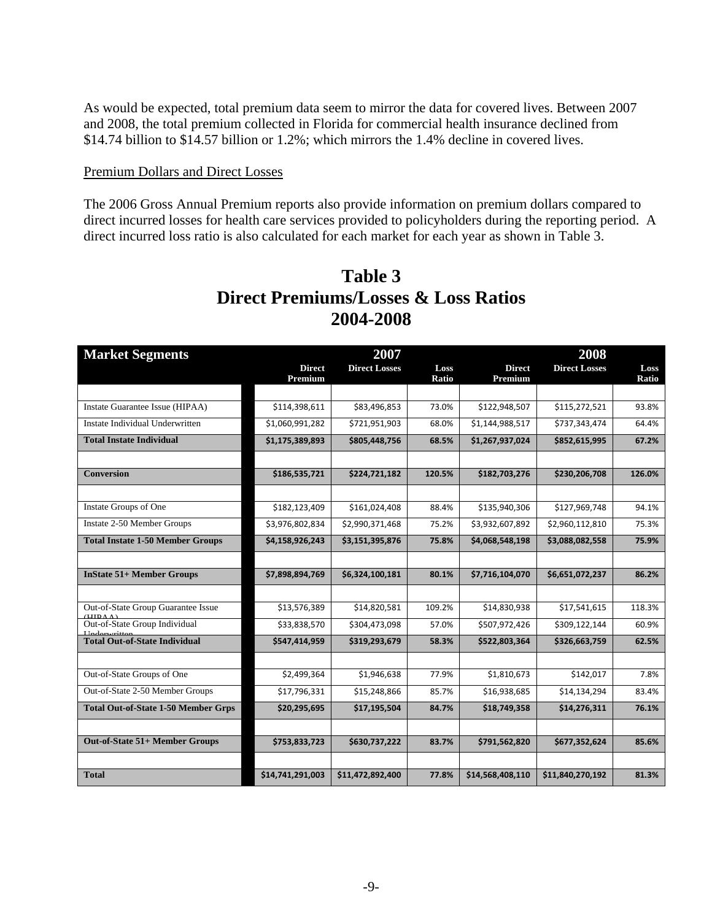As would be expected, total premium data seem to mirror the data for covered lives. Between 2007 and 2008, the total premium collected in Florida for commercial health insurance declined from \$14.74 billion to \$14.57 billion or 1.2%; which mirrors the 1.4% decline in covered lives.

#### Premium Dollars and Direct Losses

The 2006 Gross Annual Premium reports also provide information on premium dollars compared to direct incurred losses for health care services provided to policyholders during the reporting period. A direct incurred loss ratio is also calculated for each market for each year as shown in Table 3.

| <b>Market Segments</b>                     |                  | 2007                 |        | 2008             |                      |        |  |
|--------------------------------------------|------------------|----------------------|--------|------------------|----------------------|--------|--|
|                                            | <b>Direct</b>    | <b>Direct Losses</b> | Loss   | <b>Direct</b>    | <b>Direct Losses</b> | Loss   |  |
|                                            | Premium          |                      | Ratio  | Premium          |                      | Ratio  |  |
|                                            |                  |                      |        |                  |                      |        |  |
| Instate Guarantee Issue (HIPAA)            | \$114,398,611    | \$83,496,853         | 73.0%  | \$122,948,507    | \$115,272,521        | 93.8%  |  |
| Instate Individual Underwritten            | \$1,060,991,282  | \$721,951,903        | 68.0%  | \$1,144,988,517  | \$737,343,474        | 64.4%  |  |
| <b>Total Instate Individual</b>            | \$1,175,389,893  | \$805,448,756        | 68.5%  | \$1,267,937,024  | \$852,615,995        | 67.2%  |  |
| <b>Conversion</b>                          | \$186,535,721    | \$224,721,182        | 120.5% | \$182,703,276    | \$230,206,708        | 126.0% |  |
|                                            |                  |                      |        |                  |                      |        |  |
| Instate Groups of One                      | \$182,123,409    | \$161,024,408        | 88.4%  | \$135,940,306    | \$127,969,748        | 94.1%  |  |
|                                            |                  |                      |        |                  |                      |        |  |
| Instate 2-50 Member Groups                 | \$3,976,802,834  | \$2,990,371,468      | 75.2%  | \$3,932,607,892  | \$2,960,112,810      | 75.3%  |  |
| <b>Total Instate 1-50 Member Groups</b>    | \$4,158,926,243  | \$3,151,395,876      | 75.8%  | \$4,068,548,198  | \$3,088,082,558      | 75.9%  |  |
|                                            |                  |                      |        |                  |                      |        |  |
| <b>InState 51+ Member Groups</b>           | \$7,898,894,769  | \$6,324,100,181      | 80.1%  | \$7,716,104,070  | \$6,651,072,237      | 86.2%  |  |
|                                            |                  |                      |        |                  |                      |        |  |
| Out-of-State Group Guarantee Issue         | \$13,576,389     | \$14,820,581         | 109.2% | \$14,830,938     | \$17,541,615         | 118.3% |  |
| Out-of-State Group Individual              | \$33,838,570     | \$304,473,098        | 57.0%  | \$507,972,426    | \$309,122,144        | 60.9%  |  |
| <b>Total Out-of-State Individual</b>       | \$547,414,959    | \$319,293,679        | 58.3%  | \$522,803,364    | \$326,663,759        | 62.5%  |  |
|                                            |                  |                      |        |                  |                      |        |  |
| Out-of-State Groups of One                 | \$2,499,364      | \$1,946,638          | 77.9%  | \$1,810,673      | \$142,017            | 7.8%   |  |
| Out-of-State 2-50 Member Groups            | \$17,796,331     | \$15,248,866         | 85.7%  | \$16,938,685     | \$14,134,294         | 83.4%  |  |
| <b>Total Out-of-State 1-50 Member Grps</b> | \$20,295,695     | \$17,195,504         | 84.7%  | \$18,749,358     | \$14,276,311         | 76.1%  |  |
|                                            |                  |                      |        |                  |                      |        |  |
| Out-of-State 51+ Member Groups             | \$753,833,723    | \$630,737,222        | 83.7%  | \$791,562,820    | \$677,352,624        | 85.6%  |  |
|                                            |                  |                      |        |                  |                      |        |  |
| <b>Total</b>                               | \$14,741,291,003 | \$11,472,892,400     | 77.8%  | \$14,568,408,110 | \$11,840,270,192     | 81.3%  |  |

## **Table 3 Direct Premiums/Losses & Loss Ratios 2004-2008**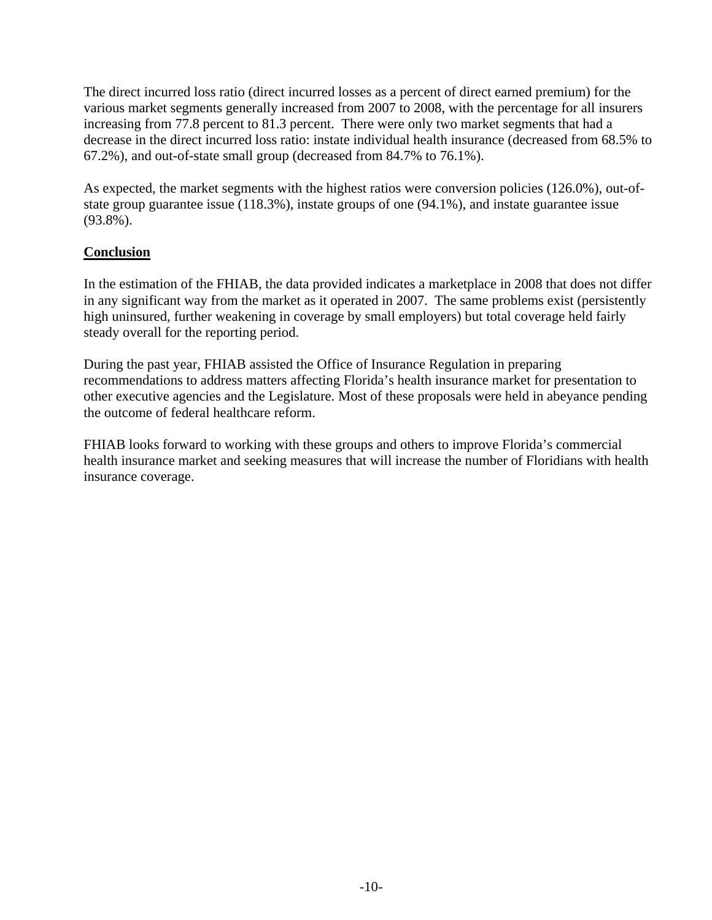The direct incurred loss ratio (direct incurred losses as a percent of direct earned premium) for the various market segments generally increased from 2007 to 2008, with the percentage for all insurers increasing from 77.8 percent to 81.3 percent. There were only two market segments that had a decrease in the direct incurred loss ratio: instate individual health insurance (decreased from 68.5% to 67.2%), and out-of-state small group (decreased from 84.7% to 76.1%).

As expected, the market segments with the highest ratios were conversion policies (126.0%), out-ofstate group guarantee issue (118.3%), instate groups of one (94.1%), and instate guarantee issue (93.8%).

### **Conclusion**

In the estimation of the FHIAB, the data provided indicates a marketplace in 2008 that does not differ in any significant way from the market as it operated in 2007. The same problems exist (persistently high uninsured, further weakening in coverage by small employers) but total coverage held fairly steady overall for the reporting period.

During the past year, FHIAB assisted the Office of Insurance Regulation in preparing recommendations to address matters affecting Florida's health insurance market for presentation to other executive agencies and the Legislature. Most of these proposals were held in abeyance pending the outcome of federal healthcare reform.

FHIAB looks forward to working with these groups and others to improve Florida's commercial health insurance market and seeking measures that will increase the number of Floridians with health insurance coverage.